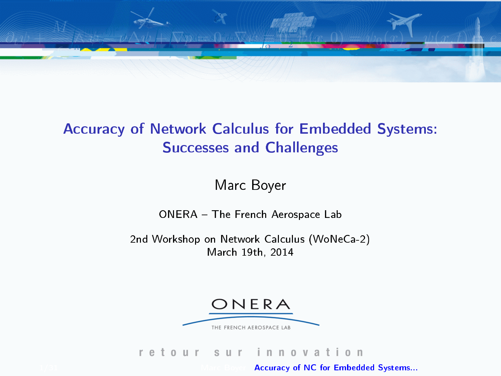<span id="page-0-1"></span>

#### Accuracy of Network Calculus for Embedded Systems: Successes and Challenges

Marc Boyer

ONERA - The French Aerospace Lab

2nd Workshop on Network Calculus (WoNeCa-2) March 19th, 2014



#### $0$  U  $r$ nnovation ret S U r

<span id="page-0-0"></span>[Accuracy of NC for Embedded Systems...](#page-48-0)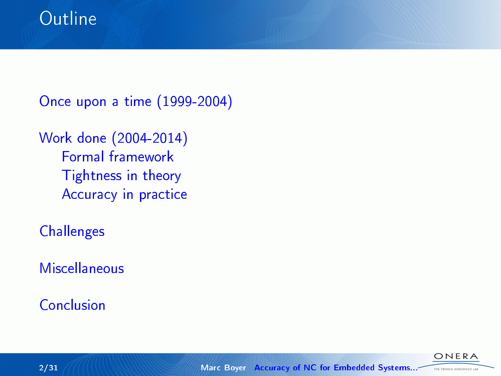[Once upon a time \(1999-2004\)](#page-3-0)

[Work done \(2004-2014\)](#page-8-0) [Formal framework](#page-9-0) [Tightness in theory](#page-15-0) [Accuracy in practice](#page-25-0)

**[Challenges](#page-34-0)** 

**[Miscellaneous](#page-37-0)** 

[Conclusion](#page-39-0)

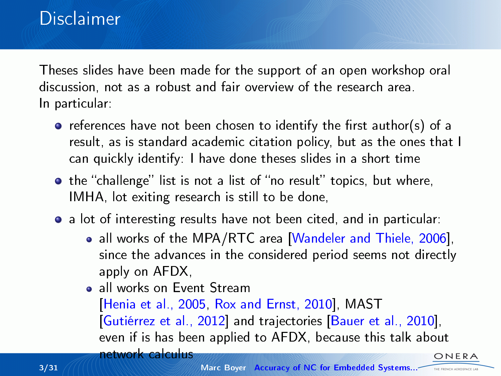## **Disclaimer**

Theses slides have been made for the support of an open workshop oral discussion, not as a robust and fair overview of the research area. In particular:

- $\bullet$  references have not been chosen to identify the first author(s) of a result, as is standard academic citation policy, but as the ones that I can quickly identify: I have done theses slides in a short time
- the "challenge" list is not a list of "no result" topics, but where, IMHA, lot exiting research is still to be done,
- a lot of interesting results have not been cited, and in particular:
	- all works of the MPA/RTC area [\[Wandeler and Thiele, 2006\]](#page-48-1). since the advances in the considered period seems not directly apply on AFDX,
	- a all works on Event Stream [\[Henia et al., 2005,](#page-47-0) [Rox and Ernst, 2010\]](#page-48-2), MAST [\[Gutiérrez et al., 2012\]](#page-46-0) and trajectories [\[Bauer et al., 2010\]](#page-43-0), even if is has been applied to AFDX, because this talk about network calculus ONERA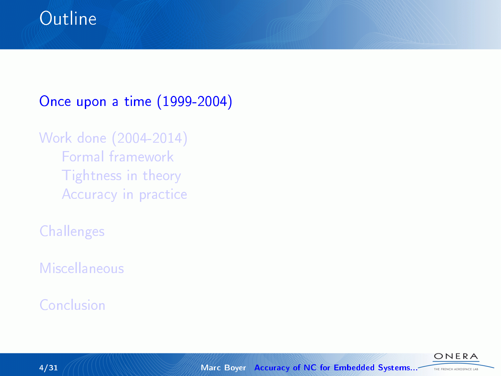## **Outline**

### [Once upon a time \(1999-2004\)](#page-3-0)

## [Work done \(2004-2014\)](#page-8-0) [Formal framework](#page-9-0) [Tightness in theory](#page-15-0) [Accuracy in practice](#page-25-0)

**[Challenges](#page-34-0)** 

[Miscellaneous](#page-37-0)

[Conclusion](#page-39-0)

<span id="page-3-0"></span>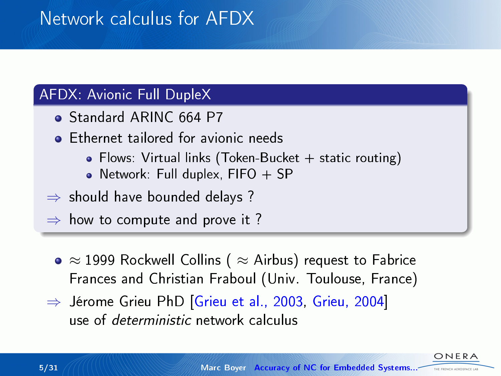## Network calculus for AFDX

#### AFDX: Avionic Full DupleX

- Standard ARINC 664 P7
- **Ethernet tailored for avionic needs** 
	- Flows: Virtual links (Token-Bucket + static routing)
	- Network: Full duplex,  $FIFO + SP$
- $\Rightarrow$  should have bounded delays ?

 $\Rightarrow$  how to compute and prove it ?

- $\bullet \approx 1999$  Rockwell Collins (  $\approx$  Airbus) request to Fabrice Frances and Christian Fraboul (Univ. Toulouse, France)
- ⇒ Jérome Grieu PhD [\[Grieu et al., 2003,](#page-46-1) [Grieu, 2004\]](#page-46-2) use of deterministic network calculus

NFR. THE ENEMY ASSOCIATE LA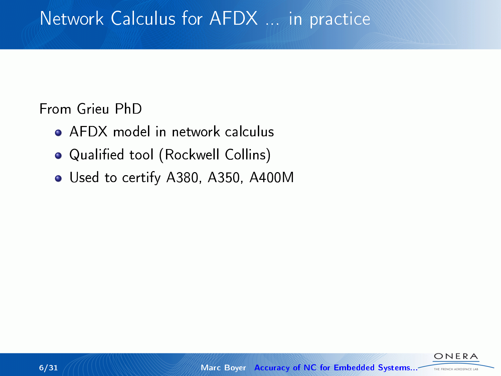#### From Grieu PhD

- AFDX model in network calculus
- Qualified tool (Rockwell Collins)
- Used to certify A380, A350, A400M

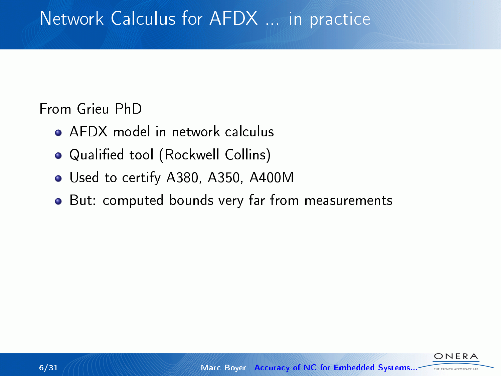From Grieu PhD

- AFDX model in network calculus
- · Qualified tool (Rockwell Collins)
- Used to certify A380, A350, A400M
- But: computed bounds very far from measurements

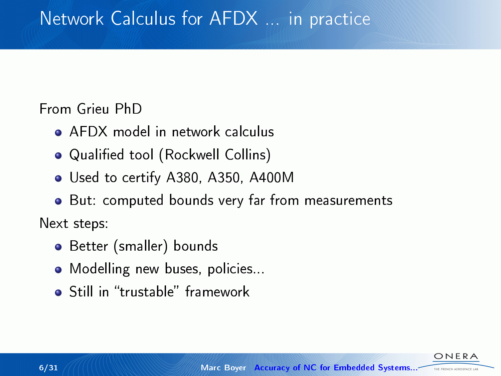From Grieu PhD

- AFDX model in network calculus
- Qualified tool (Rockwell Collins)
- Used to certify A380, A350, A400M
- But: computed bounds very far from measurements Next steps:
	- Better (smaller) bounds
	- Modelling new buses, policies...
	- **o** Still in "trustable" framework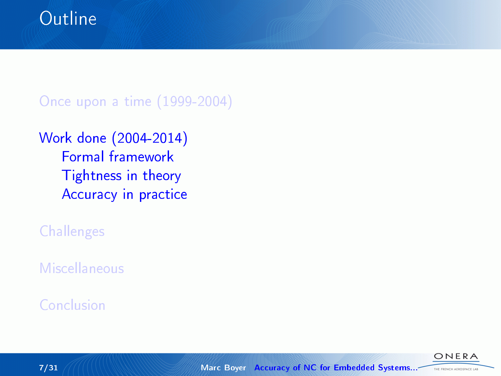[Once upon a time \(1999-2004\)](#page-3-0)

### [Work done \(2004-2014\)](#page-8-0) [Formal framework](#page-9-0) [Tightness in theory](#page-15-0) [Accuracy in practice](#page-25-0)

**[Challenges](#page-34-0)** 

[Miscellaneous](#page-37-0)

[Conclusion](#page-39-0)

<span id="page-8-0"></span>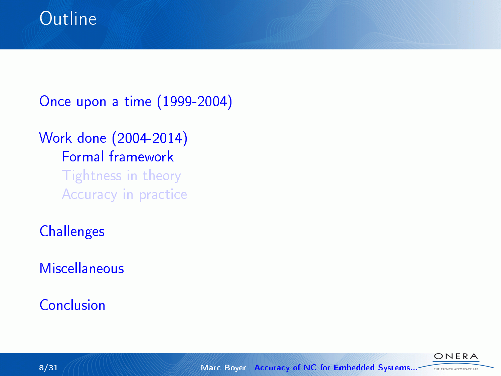[Once upon a time \(1999-2004\)](#page-3-0)

## [Work done \(2004-2014\)](#page-8-0) [Formal framework](#page-9-0) [Tightness in theory](#page-15-0) [Accuracy in practice](#page-25-0)

**[Challenges](#page-34-0)** 

**[Miscellaneous](#page-37-0)** 

[Conclusion](#page-39-0)

<span id="page-9-0"></span>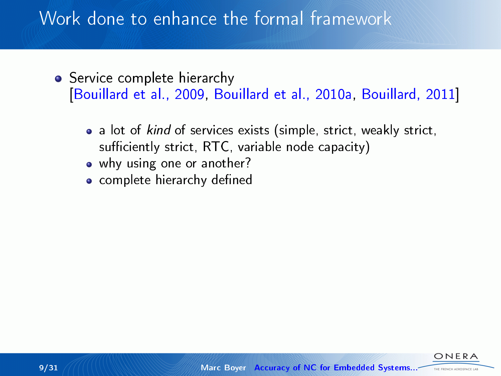- **•** Service complete hierarchy [\[Bouillard et al., 2009,](#page-43-1) [Bouillard et al., 2010a,](#page-44-0) [Bouillard, 2011\]](#page-43-2)
	- a lot of kind of services exists (simple, strict, weakly strict, sufficiently strict,  $RTC$ , variable node capacity)
	- why using one or another?
	- complete hierarchy defined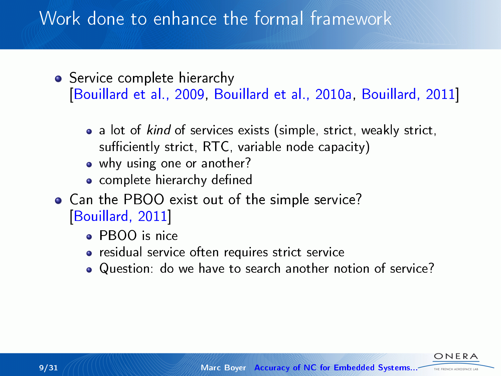- **•** Service complete hierarchy [\[Bouillard et al., 2009,](#page-43-1) [Bouillard et al., 2010a,](#page-44-0) [Bouillard, 2011\]](#page-43-2)
	- a lot of kind of services exists (simple, strict, weakly strict, sufficiently strict,  $RTC$ , variable node capacity)
	- why using one or another?
	- complete hierarchy defined
- Can the PBOO exist out of the simple service? [\[Bouillard, 2011\]](#page-43-2)
	- PBOO is nice
	- residual service often requires strict service
	- Question: do we have to search another notion of service?

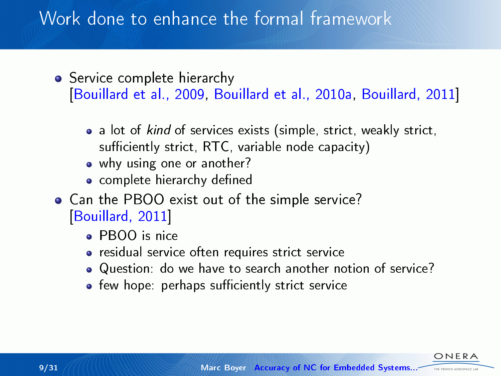- **•** Service complete hierarchy [\[Bouillard et al., 2009,](#page-43-1) [Bouillard et al., 2010a,](#page-44-0) [Bouillard, 2011\]](#page-43-2)
	- a lot of kind of services exists (simple, strict, weakly strict, sufficiently strict,  $RTC$ , variable node capacity)
	- why using one or another?
	- complete hierarchy defined
- Can the PBOO exist out of the simple service? [\[Bouillard, 2011\]](#page-43-2)
	- PBOO is nice
	- residual service often requires strict service
	- Question: do we have to search another notion of service?
	- few hope: perhaps sufficiently strict service

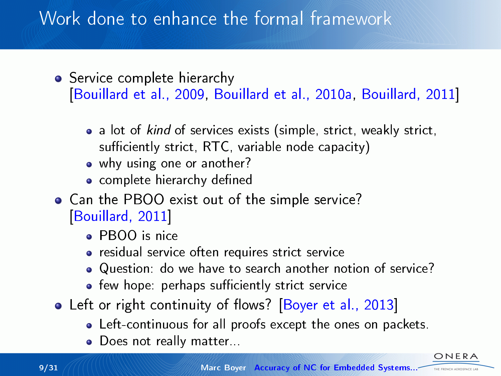- **•** Service complete hierarchy [\[Bouillard et al., 2009,](#page-43-1) [Bouillard et al., 2010a,](#page-44-0) [Bouillard, 2011\]](#page-43-2)
	- a lot of kind of services exists (simple, strict, weakly strict, sufficiently strict,  $RTC$ , variable node capacity)
	- why using one or another?
	- complete hierarchy defined
- Can the PBOO exist out of the simple service? [\[Bouillard, 2011\]](#page-43-2)
	- PBOO is nice
	- residual service often requires strict service
	- Question: do we have to search another notion of service?
	- few hope: perhaps sufficiently strict service
- Left or right continuity of flows? [\[Boyer et al., 2013\]](#page-45-0)
	- Left-continuous for all proofs except the ones on packets.
	- Does not really matter...

THE FRENCH AEROSPACE LA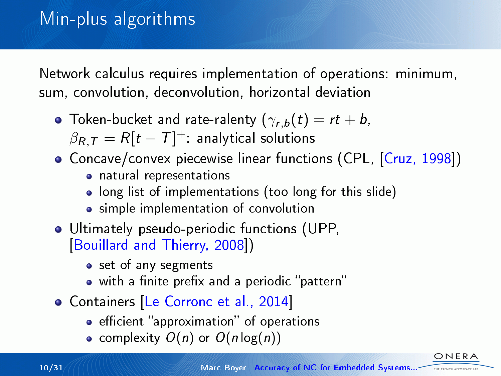Network calculus requires implementation of operations: minimum, sum, convolution, deconvolution, horizontal deviation

- Token-bucket and rate-ralenty  $(\gamma_{r,b}(t) = rt + b,$  $\beta_{\pmb{R},\pmb{\mathcal{T}}} = \pmb{\mathcal{R}} [\pmb{t}-\pmb{\mathcal{T}}]^+$ : analytical solutions
- Concave/convex piecewise linear functions (CPL, [\[Cruz, 1998\]](#page-46-3))
	- natural representations
	- long list of implementations (too long for this slide)
	- simple implementation of convolution
- Ultimately pseudo-periodic functions (UPP, [\[Bouillard and Thierry, 2008\]](#page-44-1))
	- set of any segments
	- $\bullet$  with a finite prefix and a periodic "pattern"
- Containers [\[Le Corronc et al., 2014\]](#page-47-1)
	- **•** efficient "approximation" of operations
	- complexity  $O(n)$  or  $O(n \log(n))$

ONFRA THE FRENCH AEROSPACE LA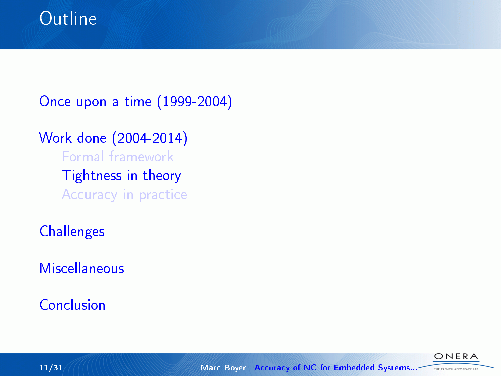[Once upon a time \(1999-2004\)](#page-3-0)

#### [Work done \(2004-2014\)](#page-8-0) [Formal framework](#page-9-0)

[Tightness in theory](#page-15-0) [Accuracy in practice](#page-25-0)

**[Challenges](#page-34-0)** 

**[Miscellaneous](#page-37-0)** 

[Conclusion](#page-39-0)

<span id="page-15-0"></span>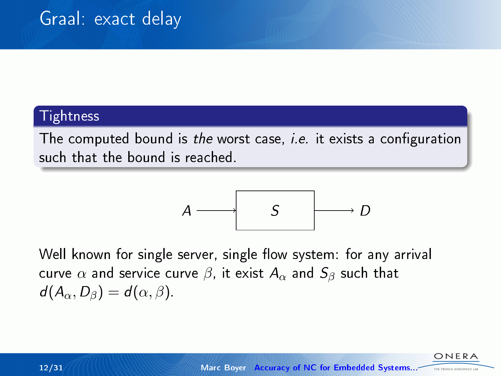#### Tightness

The computed bound is the worst case, *i.e.* it exists a configuration such that the bound is reached.

$$
A \longrightarrow S \longrightarrow D
$$

Well known for single server, single flow system: for any arrival curve  $\alpha$  and service curve  $\beta$ , it exist  $A_{\alpha}$  and  $S_{\beta}$  such that  $d(A_{\alpha}, D_{\beta}) = d(\alpha, \beta).$ 

THE ENEMY ASSOCIATE L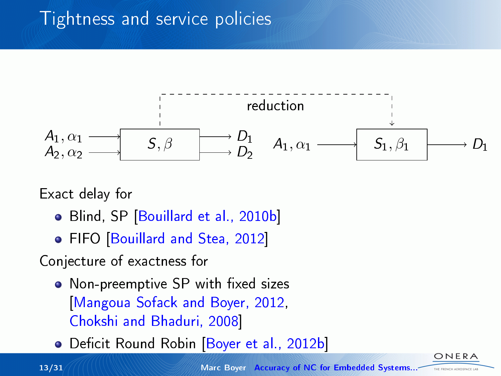# Tightness and service policies



Exact delay for

- Blind, SP [\[Bouillard et al., 2010b\]](#page-44-2)
- FIFO [\[Bouillard and Stea, 2012\]](#page-44-3)

Conjecture of exactness for

- Non-preemptive SP with fixed sizes [\[Mangoua Sofack and Boyer, 2012,](#page-48-3) [Chokshi and Bhaduri, 2008\]](#page-46-4)
- Deficit Round Robin [\[Boyer et al., 2012b\]](#page-45-1)

13/31 Marc Boyer [Accuracy of NC for Embedded Systems...](#page-0-0)

ONERA THE FRENCH AEROSPACE LAB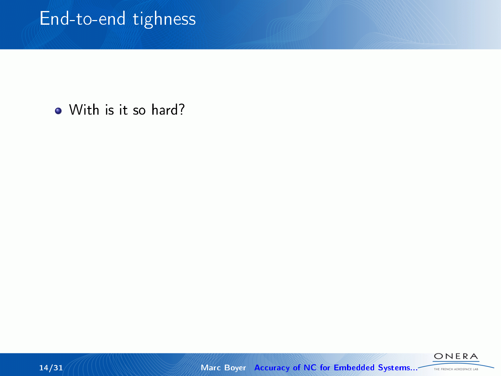• With is it so hard?

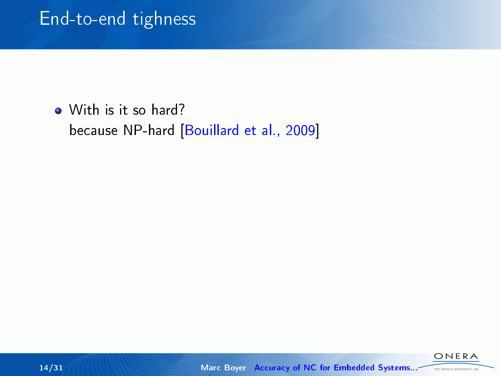• With is it so hard? because NP-hard [\[Bouillard et al., 2009\]](#page-44-4)

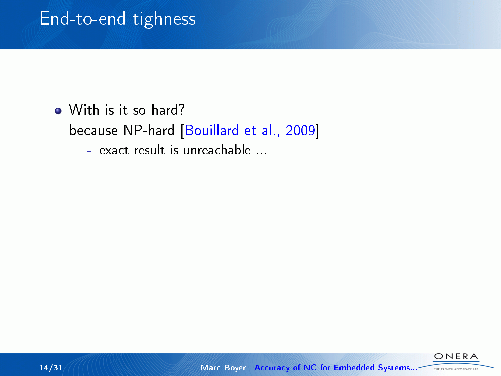• With is it so hard? because NP-hard [\[Bouillard et al., 2009\]](#page-44-4) - exact result is unreachable ...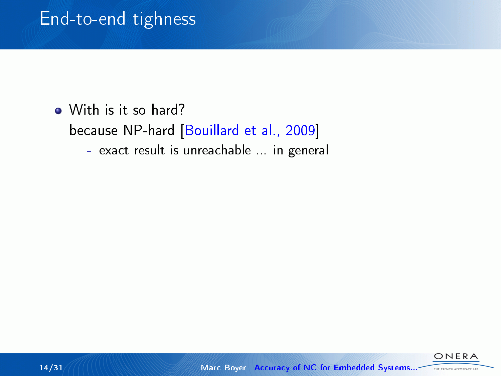• With is it so hard? because NP-hard [\[Bouillard et al., 2009\]](#page-44-4) - exact result is unreachable ... in general

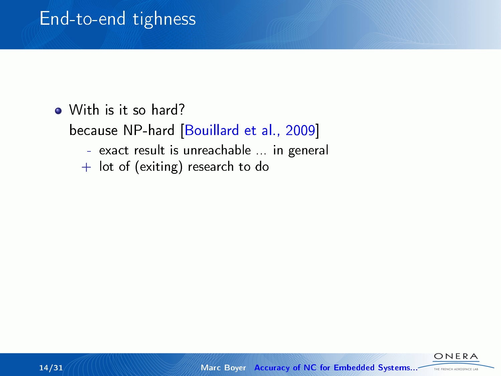• With is it so hard?

because NP-hard [\[Bouillard et al., 2009\]](#page-44-4)

- exact result is unreachable ... in general
- $+$  lot of (exiting) research to do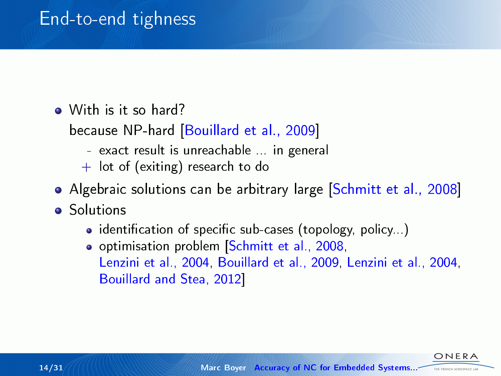• With is it so hard?

because NP-hard [\[Bouillard et al., 2009\]](#page-44-4)

- exact result is unreachable ... in general
- $+$  lot of (exiting) research to do
- Algebraic solutions can be arbitrary large [\[Schmitt et al., 2008\]](#page-48-4)
- **o** Solutions
	- $\bullet$  identification of specific sub-cases (topology, policy...)
	- o optimisation problem Schmitt et al., 2008, [Lenzini et al., 2004,](#page-47-2) [Bouillard et al., 2009,](#page-44-4) [Lenzini et al., 2004,](#page-47-2) [Bouillard and Stea, 2012\]](#page-44-3)

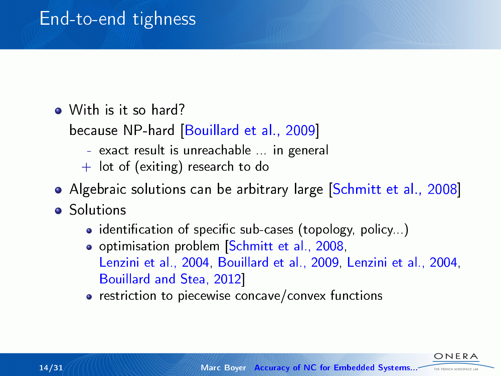• With is it so hard?

because NP-hard [\[Bouillard et al., 2009\]](#page-44-4)

- exact result is unreachable ... in general
- $+$  lot of (exiting) research to do
- Algebraic solutions can be arbitrary large [\[Schmitt et al., 2008\]](#page-48-4)
- **o** Solutions
	- $\bullet$  identification of specific sub-cases (topology, policy...)
	- o optimisation problem Schmitt et al., 2008, [Lenzini et al., 2004,](#page-47-2) [Bouillard et al., 2009,](#page-44-4) [Lenzini et al., 2004,](#page-47-2) [Bouillard and Stea, 2012\]](#page-44-3)
	- restriction to piecewise concave/convex functions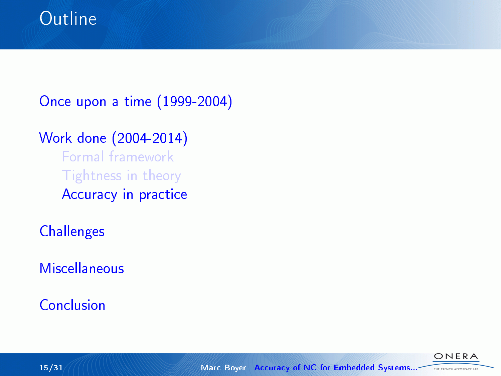[Once upon a time \(1999-2004\)](#page-3-0)

### [Work done \(2004-2014\)](#page-8-0)

[Formal framework](#page-9-0) [Tightness in theory](#page-15-0) [Accuracy in practice](#page-25-0)

**[Challenges](#page-34-0)** 

**[Miscellaneous](#page-37-0)** 

[Conclusion](#page-39-0)

<span id="page-25-0"></span>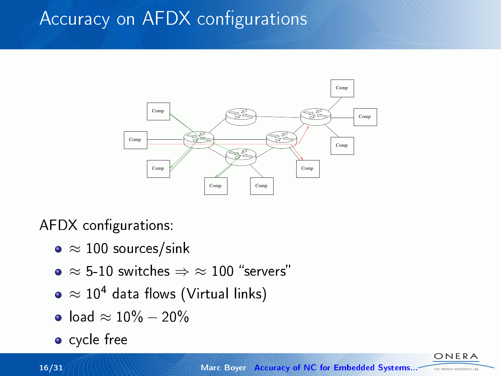## Accuracy on AFDX configurations



AFDX configurations:

- ≈ 100 sources/sink
- $\bullet \approx 5$ -10 switches  $\Rightarrow \approx 100$  "servers"
- $\bullet \approx 10^4$  data flows (Virtual links)
- $\bullet$  load ≈ 10% 20%
- cycle free

ONERA THE FRENCH AEROSPACE LAB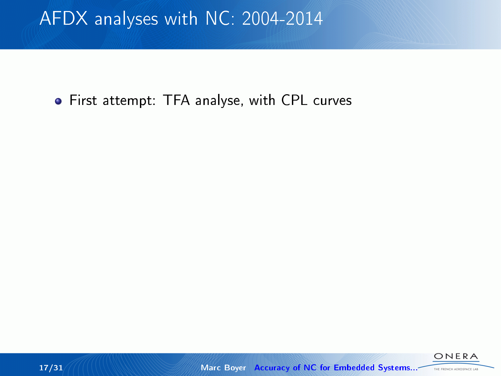**•** First attempt: TFA analyse, with CPL curves

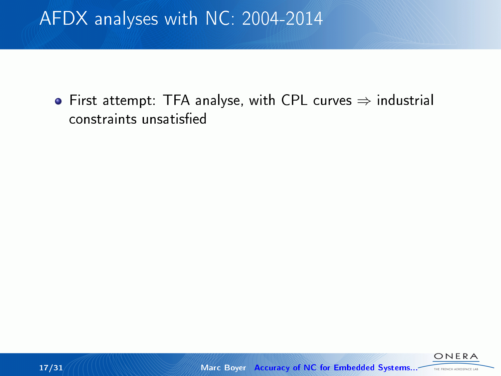First attempt: TFA analyse, with CPL curves ⇒ industrial constraints unsatised

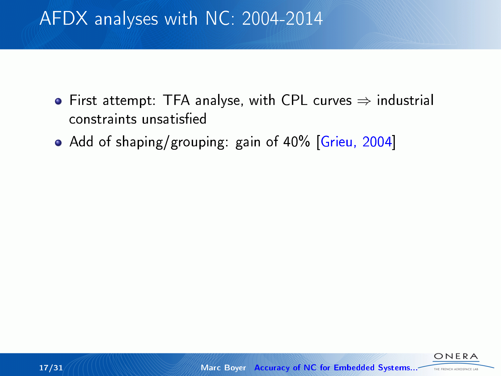- First attempt: TFA analyse, with CPL curves  $\Rightarrow$  industrial constraints unsatised
- Add of shaping/grouping: gain of 40% [\[Grieu, 2004\]](#page-46-2)

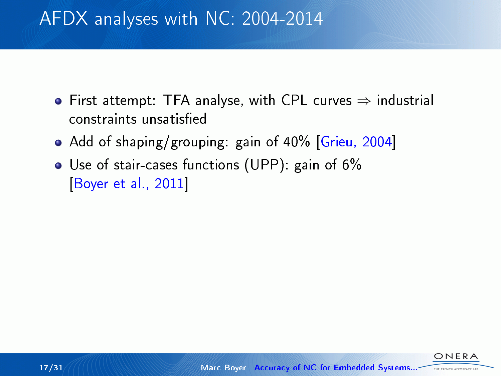- First attempt: TFA analyse, with CPL curves  $\Rightarrow$  industrial constraints unsatised
- Add of shaping/grouping: gain of 40% [\[Grieu, 2004\]](#page-46-2)
- Use of stair-cases functions (UPP): gain of 6% [\[Boyer et al., 2011\]](#page-45-2)

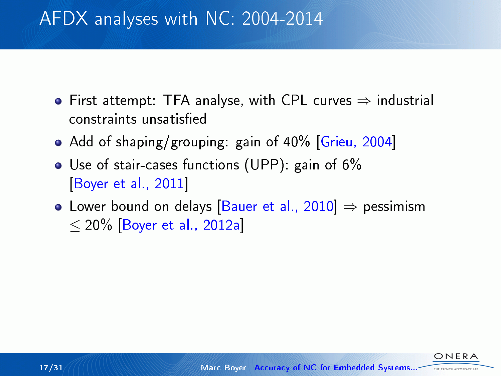- First attempt: TFA analyse, with CPL curves  $\Rightarrow$  industrial constraints unsatised
- Add of shaping/grouping: gain of 40% [\[Grieu, 2004\]](#page-46-2)
- Use of stair-cases functions (UPP): gain of 6% [\[Boyer et al., 2011\]](#page-45-2)
- Lower bound on delays [\[Bauer et al., 2010\]](#page-43-0)  $\Rightarrow$  pessimism  $\leq$  20% [\[Boyer et al., 2012a\]](#page-45-3)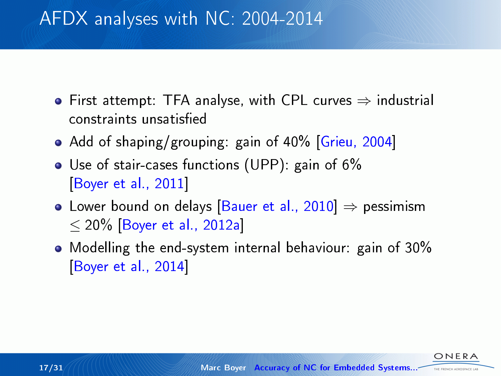- First attempt: TFA analyse, with CPL curves  $\Rightarrow$  industrial constraints unsatised
- Add of shaping/grouping: gain of 40% [\[Grieu, 2004\]](#page-46-2)
- Use of stair-cases functions (UPP): gain of 6% [\[Boyer et al., 2011\]](#page-45-2)
- Lower bound on delays [\[Bauer et al., 2010\]](#page-43-0)  $\Rightarrow$  pessimism  $<$  20% [\[Boyer et al., 2012a\]](#page-45-3)
- Modelling the end-system internal behaviour: gain of 30% [\[Boyer et al., 2014\]](#page-45-4)

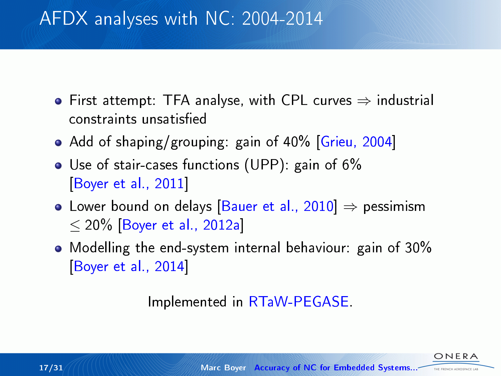- First attempt: TFA analyse, with CPL curves  $\Rightarrow$  industrial constraints unsatised
- Add of shaping/grouping: gain of 40% [\[Grieu, 2004\]](#page-46-2)
- Use of stair-cases functions (UPP): gain of 6% [\[Boyer et al., 2011\]](#page-45-2)
- Lower bound on delays [\[Bauer et al., 2010\]](#page-43-0)  $\Rightarrow$  pessimism  $<$  20% [\[Boyer et al., 2012a\]](#page-45-3)
- Modelling the end-system internal behaviour: gain of 30% [\[Boyer et al., 2014\]](#page-45-4)

Implemented in [RTaW-PEGASE.](#page-0-1)

THE ENEMY ASSOCIATE LA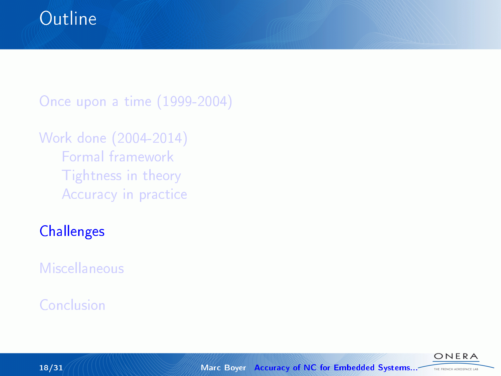[Once upon a time \(1999-2004\)](#page-3-0)

### [Work done \(2004-2014\)](#page-8-0) [Formal framework](#page-9-0) [Tightness in theory](#page-15-0) [Accuracy in practice](#page-25-0)

## **[Challenges](#page-34-0)**

[Miscellaneous](#page-37-0)

### [Conclusion](#page-39-0)

<span id="page-34-0"></span>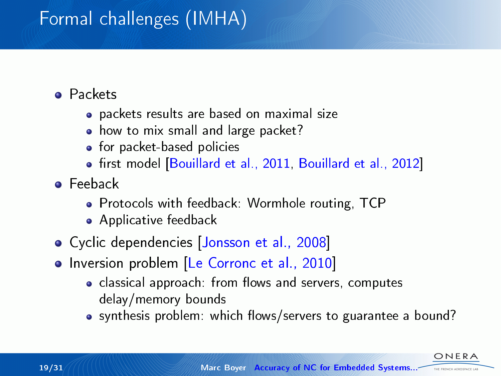# Formal challenges (IMHA)

### Packets

- packets results are based on maximal size
- how to mix small and large packet?
- **•** for packet-based policies
- first model [\[Bouillard et al., 2011,](#page-43-3) [Bouillard et al., 2012\]](#page-43-4)
- **o** Feeback
	- Protocols with feedback: Wormhole routing, TCP
	- Applicative feedback
- Cyclic dependencies [\[Jonsson et al., 2008\]](#page-47-3)
- Inversion problem [\[Le Corronc et al., 2010\]](#page-47-4)
	- classical approach: from flows and servers, computes delay/memory bounds
	- synthesis problem: which flows/servers to guarantee a bound?

ONFRA THE FRENCH AEROSPACE LA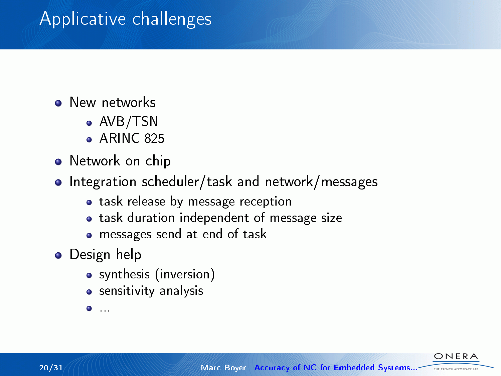## Applicative challenges

- **O** New networks
	- AVB/TSN
	- $\bullet$  ARINC 825
- Network on chip
- Integration scheduler/task and network/messages
	- **•** task release by message reception
	- task duration independent of message size
	- messages send at end of task
- **O** Design help
	- synthesis (inversion)
	- sensitivity analysis

...

ONERA THE FRENCH AEROSPACE LAB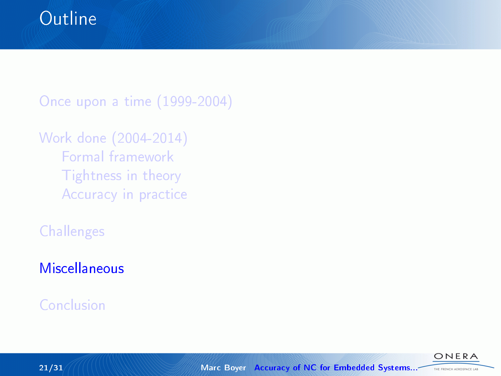[Once upon a time \(1999-2004\)](#page-3-0)

```
Work done (2004-2014)
Formal framework
Tightness in theory
Accuracy in practice
```
**[Challenges](#page-34-0)** 

### **[Miscellaneous](#page-37-0)**

### [Conclusion](#page-39-0)



<span id="page-37-0"></span>ONERA THE FRENCH AEROSPACE LAB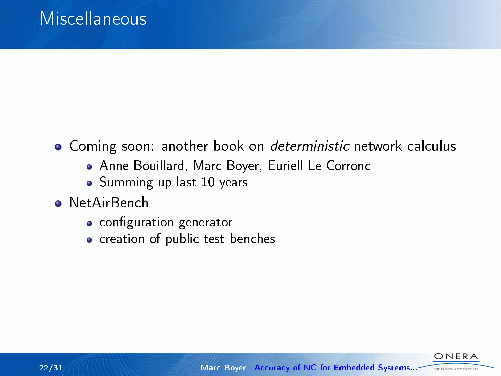- Coming soon: another book on deterministic network calculus
	- Anne Bouillard, Marc Boyer, Euriell Le Corronc
	- Summing up last 10 years
- **o** NetAirBench
	- configuration generator
	- creation of public test benches

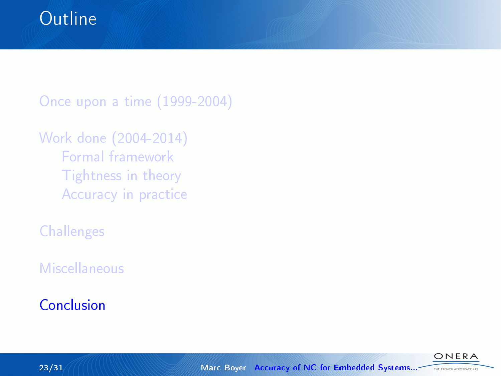[Once upon a time \(1999-2004\)](#page-3-0)

```
Work done (2004-2014)
Formal framework
Tightness in theory
Accuracy in practice
```
**[Challenges](#page-34-0)** 

[Miscellaneous](#page-37-0)

### [Conclusion](#page-39-0)

<span id="page-39-0"></span>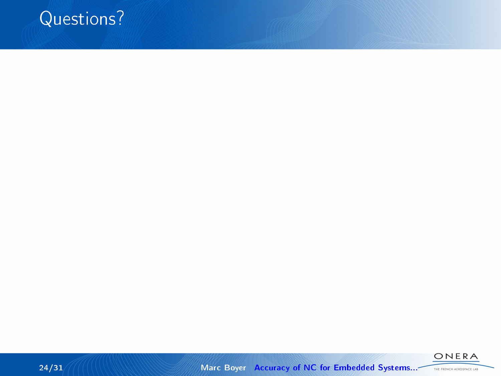





24/31 Marc Boyer [Accuracy of NC for Embedded Systems...](#page-0-0)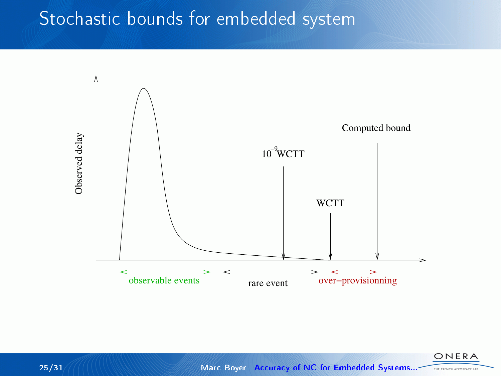## Stochastic bounds for embedded system



ONERA THE FRENCH AEROSPACE LAB

25/31 Marc Boyer [Accuracy of NC for Embedded Systems...](#page-0-0)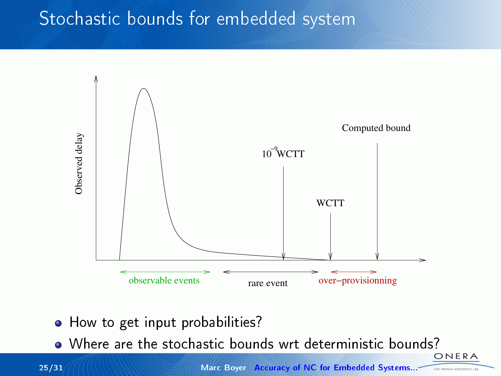## Stochastic bounds for embedded system



- How to get input probabilities?
- Where are the stochastic bounds wrt deterministic bounds?

THE FRENCH AEROSPACE LAB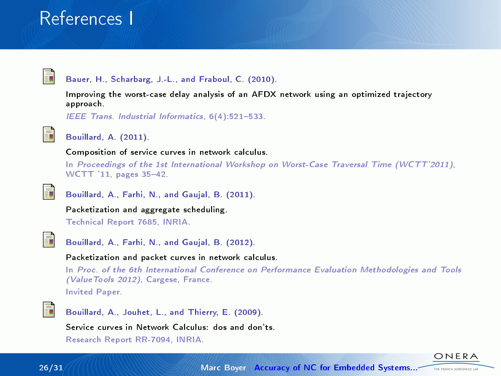## References I

<span id="page-43-0"></span>

#### Bauer, H., Scharbarg, J.-L., and Fraboul, C. (2010).

Improving the worst-case delay analysis of an AFDX network using an optimized trajectory approach.

 $IEEE$  Trans. Industrial Informatics,  $6(4)$ : 521-533.

<span id="page-43-2"></span>

#### Bouillard, A. (2011).

Composition of service curves in network calculus.

In Proceedings of the 1st International Workshop on Worst-Case Traversal Time (WCTT'2011), WCTT '11, pages 35-42.

<span id="page-43-3"></span>

Bouillard, A., Farhi, N., and Gaujal, B. (2011).

Packetization and aggregate scheduling.

Technical Report 7685, INRIA.

<span id="page-43-4"></span>

Bouillard, A., Farhi, N., and Gaujal, B. (2012).

Packetization and packet curves in network calculus.

In Proc. of the 6th International Conference on Performance Evaluation Methodologies and Tools (ValueTools 2012), Cargese, France.

Invited Paper.

<span id="page-43-1"></span>

Bouillard, A., Jouhet, L., and Thierry, E. (2009).

Service curves in Network Calculus: dos and don'ts.

Research Report RR-7094, INRIA.

ONERA THE FRENCH AEROSPACE LAB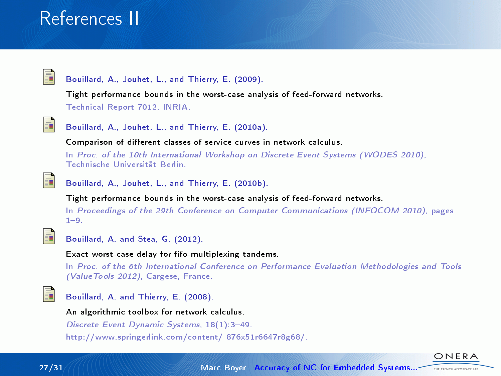## References II

<span id="page-44-4"></span>

#### Bouillard, A., Jouhet, L., and Thierry, E. (2009).

Tight performance bounds in the worst-case analysis of feed-forward networks. Technical Report 7012, INRIA.

<span id="page-44-0"></span>

Bouillard, A., Jouhet, L., and Thierry, E. (2010a).

Comparison of different classes of service curves in network calculus.

In Proc. of the 10th International Workshop on Discrete Event Systems (WODES 2010), Technische Universität Berlin.

<span id="page-44-2"></span>

Bouillard, A., Jouhet, L., and Thierry, E. (2010b).

Tight performance bounds in the worst-case analysis of feed-forward networks.

In Proceedings of the 29th Conference on Computer Communications (INFOCOM 2010), pages  $1 - 9.$ 

<span id="page-44-3"></span>

Bouillard, A. and Stea, G. (2012).

Exact worst-case delay for fifo-multiplexing tandems.

In Proc. of the 6th International Conference on Performance Evaluation Methodologies and Tools (ValueTools 2012), Cargese, France.

<span id="page-44-1"></span>

Bouillard, A. and Thierry, E. (2008).

An algorithmic toolbox for network calculus.

Discrete Event Dynamic Systems, 18(1):3-49. http://www.springerlink.com/content/ 876x51r6647r8g68/.



ONERA THE FRENCH AEROSPACE LAB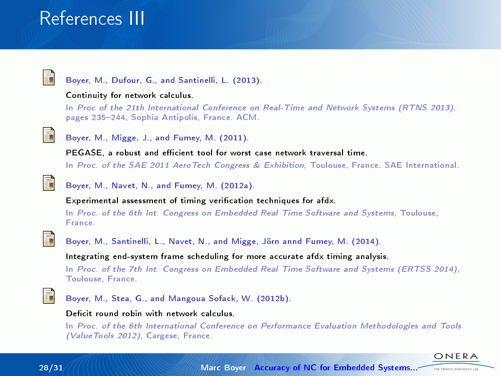## References III

<span id="page-45-0"></span>

#### Boyer, M., Dufour, G., and Santinelli, L. (2013).

#### Continuity for network calculus.

In Proc of the 21th International Conference on Real-Time and Network Systems (RTNS 2013), pages 235-244, Sophia Antipolis, France. ACM.

<span id="page-45-2"></span>

Boyer, M., Migge, J., and Fumey, M. (2011).

PEGASE, a robust and efficient tool for worst case network traversal time. In Proc. of the SAE 2011 AeroTech Congress & Exhibition, Toulouse, France. SAE International.

<span id="page-45-3"></span>

Boyer, M., Navet, N., and Fumey, M. (2012a).

Experimental assessment of timing verification techniques for afdx.

In Proc. of the 6th Int. Congress on Embedded Real Time Software and Systems, Toulouse, France.

<span id="page-45-4"></span>

Boyer, M., Santinelli, L., Navet, N., and Migge, Jörn annd Fumey, M. (2014).

Integrating end-system frame scheduling for more accurate afdx timing analysis.

In Proc. of the 7th Int. Congress on Embedded Real Time Software and Systems (ERTSS 2014), Toulouse, France.

<span id="page-45-1"></span>

Boyer, M., Stea, G., and Mangoua Sofack, W. (2012b).

#### Deficit round robin with network calculus.

In Proc. of the 6th International Conference on Performance Evaluation Methodologies and Tools (ValueTools 2012), Cargese, France.



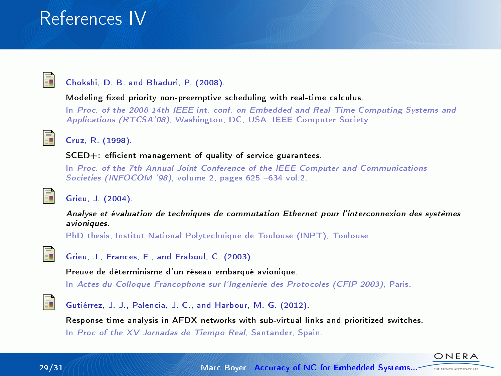## References IV

<span id="page-46-4"></span>

#### Chokshi, D. B. and Bhaduri, P. (2008).

Modeling fixed priority non-preemptive scheduling with real-time calculus.

In Proc. of the 2008 14th IEEE int. conf. on Embedded and Real-Time Computing Systems and Applications (RTCSA'08), Washington, DC, USA. IEEE Computer Society.

<span id="page-46-3"></span>

#### Cruz, R. (1998).

 $SCED+$ : efficient management of quality of service guarantees.

In Proc. of the 7th Annual Joint Conference of the IEEE Computer and Communications Societies (INFOCOM '98), volume 2, pages  $625 - 634$  vol.2.

<span id="page-46-2"></span>

#### Grieu, J. (2004).

Analyse et évaluation de techniques de commutation Ethernet pour l'interconnexion des systèmes avioniques.

PhD thesis, Institut National Polytechnique de Toulouse (INPT), Toulouse.

<span id="page-46-1"></span>

Grieu, J., Frances, F., and Fraboul, C. (2003).

Preuve de déterminisme d'un réseau embarqué avionique.

In Actes du Colloque Francophone sur l'Ingenierie des Protocoles (CFIP 2003), Paris.

<span id="page-46-0"></span>

Gutiérrez, J. J., Palencia, J. C., and Harbour, M. G. (2012).

Response time analysis in AFDX networks with sub-virtual links and prioritized switches. In Proc of the XV Jornadas de Tiempo Real, Santander, Spain.



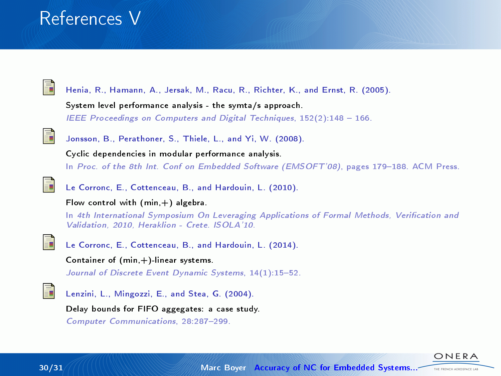## References V

<span id="page-47-0"></span>

Henia, R., Hamann, A., Jersak, M., Racu, R., Richter, K., and Ernst, R. (2005). System level performance analysis - the symta/s approach. IEEE Proceedings on Computers and Digital Techniques,  $152(2):148 - 166$ .

<span id="page-47-3"></span>

Jonsson, B., Perathoner, S., Thiele, L., and Yi, W. (2008). Cyclic dependencies in modular performance analysis. In Proc. of the 8th Int. Conf on Embedded Software (EMSOFT'08), pages 179-188. ACM Press.

<span id="page-47-4"></span>

Le Corronc, E., Cottenceau, B., and Hardouin, L. (2010).

#### Flow control with  $(min, +)$  algebra.

In 4th International Symposium On Leveraging Applications of Formal Methods, Verification and Validation, 2010, Heraklion - Crete. ISOLA'10.

<span id="page-47-1"></span>

Le Corronc, E., Cottenceau, B., and Hardouin, L. (2014).

Container of  $(\text{min}, +)$ -linear systems.

Journal of Discrete Event Dynamic Systems, 14(1):15-52.

<span id="page-47-2"></span>

Lenzini, L., Mingozzi, E., and Stea, G. (2004).

Delay bounds for FIFO aggegates: a case study.

Computer Communications, 28:287-299.